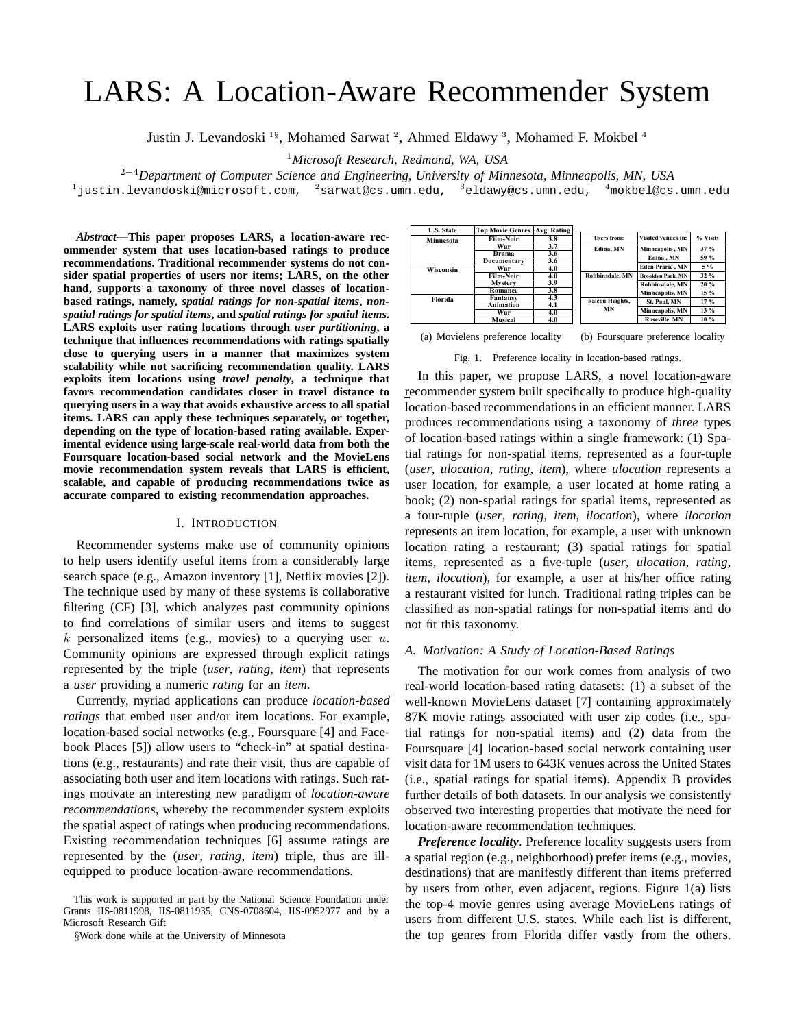# LARS: A Location-Aware Recommender System

Justin J. Levandoski<sup>1§</sup>, Mohamed Sarwat<sup>2</sup>, Ahmed Eldawy<sup>3</sup>, Mohamed F. Mokbel<sup>4</sup>

<sup>1</sup>*Microsoft Research, Redmond, WA, USA*

<sup>2</sup>−<sup>4</sup>*Department of Computer Science and Engineering, University of Minnesota, Minneapolis, MN, USA*

 $1$ justin.levandoski@microsoft.com,  $2$ sarwat@cs.umn.edu,  $3e$ ldawy@cs.umn.edu,  $4m$ okbel@cs.umn.edu

*Abstract***—This paper proposes LARS, a location-aware recommender system that uses location-based ratings to produce recommendations. Traditional recommender systems do not consider spatial properties of users nor items; LARS, on the other hand, supports a taxonomy of three novel classes of locationbased ratings, namely,** *spatial ratings for non-spatial items***,** *nonspatial ratings for spatial items***, and** *spatial ratings for spatial items***. LARS exploits user rating locations through** *user partitioning***, a technique that influences recommendations with ratings spatially close to querying users in a manner that maximizes system scalability while not sacrificing recommendation quality. LARS exploits item locations using** *travel penalty***, a technique that favors recommendation candidates closer in travel distance to querying users in a way that avoids exhaustive access to all spatial items. LARS can apply these techniques separately, or together, depending on the type of location-based rating available. Experimental evidence using large-scale real-world data from both the Foursquare location-based social network and the MovieLens movie recommendation system reveals that LARS is efficient, scalable, and capable of producing recommendations twice as accurate compared to existing recommendation approaches.**

#### I. INTRODUCTION

Recommender systems make use of community opinions to help users identify useful items from a considerably large search space (e.g., Amazon inventory [1], Netflix movies [2]). The technique used by many of these systems is collaborative filtering (CF) [3], which analyzes past community opinions to find correlations of similar users and items to suggest k personalized items (e.g., movies) to a querying user  $u$ . Community opinions are expressed through explicit ratings represented by the triple (*user*, *rating*, *item*) that represents a *user* providing a numeric *rating* for an *item*.

Currently, myriad applications can produce *location-based ratings* that embed user and/or item locations. For example, location-based social networks (e.g., Foursquare [4] and Facebook Places [5]) allow users to "check-in" at spatial destinations (e.g., restaurants) and rate their visit, thus are capable of associating both user and item locations with ratings. Such ratings motivate an interesting new paradigm of *location-aware recommendations*, whereby the recommender system exploits the spatial aspect of ratings when producing recommendations. Existing recommendation techniques [6] assume ratings are represented by the (*user*, *rating*, *item*) triple, thus are illequipped to produce location-aware recommendations.

§Work done while at the University of Minnesota



(a) Movielens preference locality (b) Foursquare preference locality

Fig. 1. Preference locality in location-based ratings.

In this paper, we propose LARS, a novel location-aware recommender system built specifically to produce high-quality location-based recommendations in an efficient manner. LARS produces recommendations using a taxonomy of *three* types of location-based ratings within a single framework: (1) Spatial ratings for non-spatial items, represented as a four-tuple (*user*, *ulocation*, *rating*, *item*), where *ulocation* represents a user location, for example, a user located at home rating a book; (2) non-spatial ratings for spatial items, represented as a four-tuple (*user*, *rating*, *item*, *ilocation*), where *ilocation* represents an item location, for example, a user with unknown location rating a restaurant; (3) spatial ratings for spatial items, represented as a five-tuple (*user*, *ulocation*, *rating*, *item*, *ilocation*), for example, a user at his/her office rating a restaurant visited for lunch. Traditional rating triples can be classified as non-spatial ratings for non-spatial items and do not fit this taxonomy.

## *A. Motivation: A Study of Location-Based Ratings*

The motivation for our work comes from analysis of two real-world location-based rating datasets: (1) a subset of the well-known MovieLens dataset [7] containing approximately 87K movie ratings associated with user zip codes (i.e., spatial ratings for non-spatial items) and (2) data from the Foursquare [4] location-based social network containing user visit data for 1M users to 643K venues across the United States (i.e., spatial ratings for spatial items). Appendix B provides further details of both datasets. In our analysis we consistently observed two interesting properties that motivate the need for location-aware recommendation techniques.

*Preference locality*. Preference locality suggests users from a spatial region (e.g., neighborhood) prefer items (e.g., movies, destinations) that are manifestly different than items preferred by users from other, even adjacent, regions. Figure 1(a) lists the top-4 movie genres using average MovieLens ratings of users from different U.S. states. While each list is different, the top genres from Florida differ vastly from the others.

This work is supported in part by the National Science Foundation under Grants IIS-0811998, IIS-0811935, CNS-0708604, IIS-0952977 and by a Microsoft Research Gift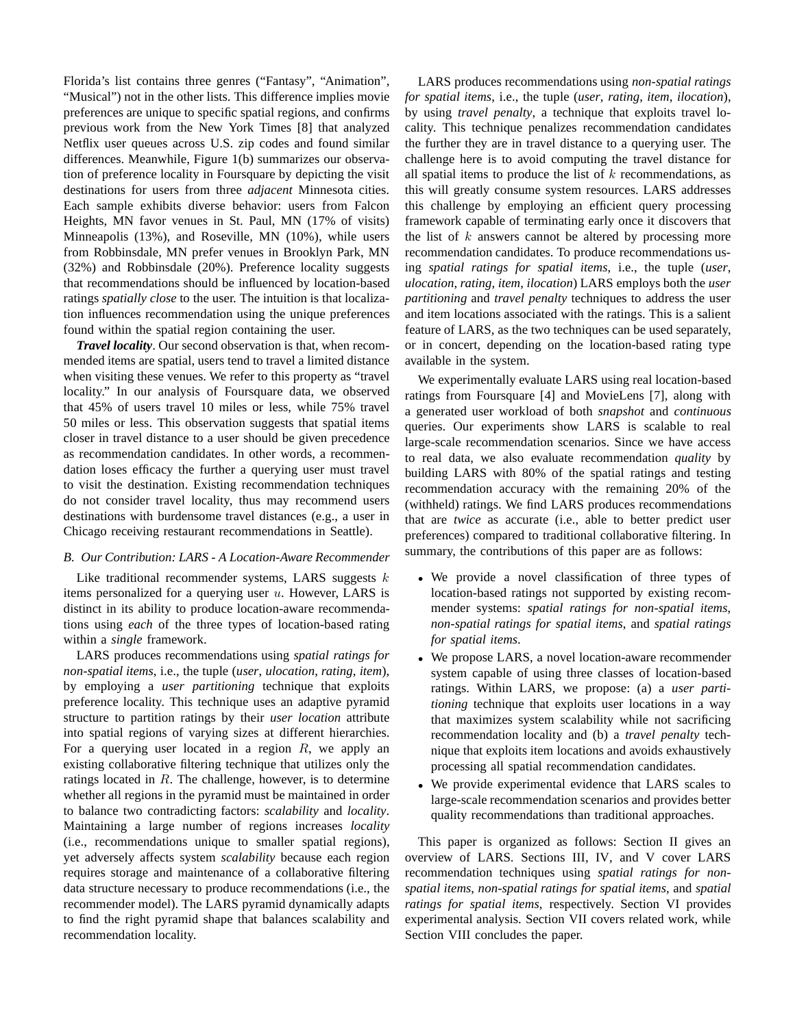Florida's list contains three genres ("Fantasy", "Animation", "Musical") not in the other lists. This difference implies movie preferences are unique to specific spatial regions, and confirms previous work from the New York Times [8] that analyzed Netflix user queues across U.S. zip codes and found similar differences. Meanwhile, Figure 1(b) summarizes our observation of preference locality in Foursquare by depicting the visit destinations for users from three *adjacent* Minnesota cities. Each sample exhibits diverse behavior: users from Falcon Heights, MN favor venues in St. Paul, MN (17% of visits) Minneapolis (13%), and Roseville, MN (10%), while users from Robbinsdale, MN prefer venues in Brooklyn Park, MN (32%) and Robbinsdale (20%). Preference locality suggests that recommendations should be influenced by location-based ratings *spatially close* to the user. The intuition is that localization influences recommendation using the unique preferences found within the spatial region containing the user.

*Travel locality*. Our second observation is that, when recommended items are spatial, users tend to travel a limited distance when visiting these venues. We refer to this property as "travel locality." In our analysis of Foursquare data, we observed that 45% of users travel 10 miles or less, while 75% travel 50 miles or less. This observation suggests that spatial items closer in travel distance to a user should be given precedence as recommendation candidates. In other words, a recommendation loses efficacy the further a querying user must travel to visit the destination. Existing recommendation techniques do not consider travel locality, thus may recommend users destinations with burdensome travel distances (e.g., a user in Chicago receiving restaurant recommendations in Seattle).

# *B. Our Contribution: LARS - A Location-Aware Recommender*

Like traditional recommender systems, LARS suggests  $k$ items personalized for a querying user  $u$ . However, LARS is distinct in its ability to produce location-aware recommendations using *each* of the three types of location-based rating within a *single* framework.

LARS produces recommendations using *spatial ratings for non-spatial items*, i.e., the tuple (*user*, *ulocation*, *rating*, *item*), by employing a *user partitioning* technique that exploits preference locality. This technique uses an adaptive pyramid structure to partition ratings by their *user location* attribute into spatial regions of varying sizes at different hierarchies. For a querying user located in a region  $R$ , we apply an existing collaborative filtering technique that utilizes only the ratings located in  $R$ . The challenge, however, is to determine whether all regions in the pyramid must be maintained in order to balance two contradicting factors: *scalability* and *locality*. Maintaining a large number of regions increases *locality* (i.e., recommendations unique to smaller spatial regions), yet adversely affects system *scalability* because each region requires storage and maintenance of a collaborative filtering data structure necessary to produce recommendations (i.e., the recommender model). The LARS pyramid dynamically adapts to find the right pyramid shape that balances scalability and recommendation locality.

LARS produces recommendations using *non-spatial ratings for spatial items*, i.e., the tuple (*user*, *rating*, *item*, *ilocation*), by using *travel penalty*, a technique that exploits travel locality. This technique penalizes recommendation candidates the further they are in travel distance to a querying user. The challenge here is to avoid computing the travel distance for all spatial items to produce the list of  $k$  recommendations, as this will greatly consume system resources. LARS addresses this challenge by employing an efficient query processing framework capable of terminating early once it discovers that the list of  $k$  answers cannot be altered by processing more recommendation candidates. To produce recommendations using *spatial ratings for spatial items*, i.e., the tuple (*user*, *ulocation*, *rating*, *item*, *ilocation*) LARS employs both the *user partitioning* and *travel penalty* techniques to address the user and item locations associated with the ratings. This is a salient feature of LARS, as the two techniques can be used separately, or in concert, depending on the location-based rating type available in the system.

We experimentally evaluate LARS using real location-based ratings from Foursquare [4] and MovieLens [7], along with a generated user workload of both *snapshot* and *continuous* queries. Our experiments show LARS is scalable to real large-scale recommendation scenarios. Since we have access to real data, we also evaluate recommendation *quality* by building LARS with 80% of the spatial ratings and testing recommendation accuracy with the remaining 20% of the (withheld) ratings. We find LARS produces recommendations that are *twice* as accurate (i.e., able to better predict user preferences) compared to traditional collaborative filtering. In summary, the contributions of this paper are as follows:

- We provide a novel classification of three types of location-based ratings not supported by existing recommender systems: *spatial ratings for non-spatial items*, *non-spatial ratings for spatial items*, and *spatial ratings for spatial items*.
- We propose LARS, a novel location-aware recommender system capable of using three classes of location-based ratings. Within LARS, we propose: (a) a *user partitioning* technique that exploits user locations in a way that maximizes system scalability while not sacrificing recommendation locality and (b) a *travel penalty* technique that exploits item locations and avoids exhaustively processing all spatial recommendation candidates.
- We provide experimental evidence that LARS scales to large-scale recommendation scenarios and provides better quality recommendations than traditional approaches.

This paper is organized as follows: Section II gives an overview of LARS. Sections III, IV, and V cover LARS recommendation techniques using *spatial ratings for nonspatial items*, *non-spatial ratings for spatial items*, and *spatial ratings for spatial items*, respectively. Section VI provides experimental analysis. Section VII covers related work, while Section VIII concludes the paper.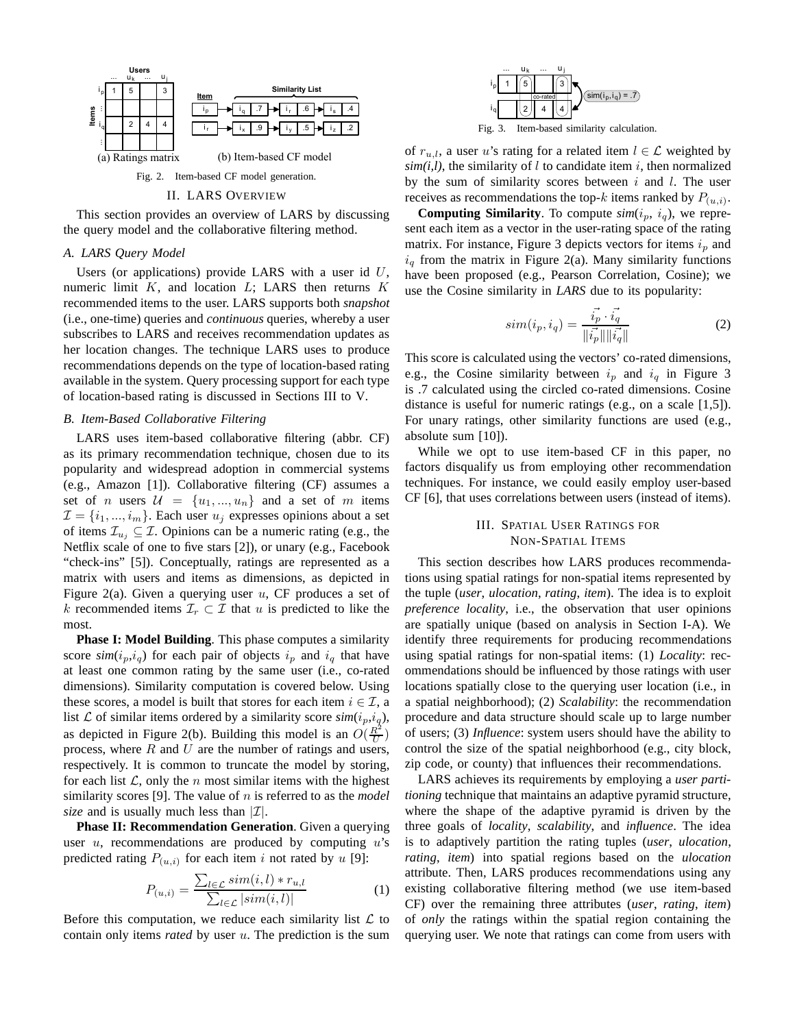

This section provides an overview of LARS by discussing the query model and the collaborative filtering method.

#### *A. LARS Query Model*

Users (or applications) provide LARS with a user id  $U$ , numeric limit  $K$ , and location  $L$ ; LARS then returns  $K$ recommended items to the user. LARS supports both *snapshot* (i.e., one-time) queries and *continuous* queries, whereby a user subscribes to LARS and receives recommendation updates as her location changes. The technique LARS uses to produce recommendations depends on the type of location-based rating available in the system. Query processing support for each type of location-based rating is discussed in Sections III to V.

## *B. Item-Based Collaborative Filtering*

LARS uses item-based collaborative filtering (abbr. CF) as its primary recommendation technique, chosen due to its popularity and widespread adoption in commercial systems (e.g., Amazon [1]). Collaborative filtering (CF) assumes a set of *n* users  $\mathcal{U} = \{u_1, ..., u_n\}$  and a set of *m* items  $\mathcal{I} = \{i_1, ..., i_m\}$ . Each user  $u_i$  expresses opinions about a set of items  $\mathcal{I}_{u_i} \subseteq \mathcal{I}$ . Opinions can be a numeric rating (e.g., the Netflix scale of one to five stars [2]), or unary (e.g., Facebook "check-ins" [5]). Conceptually, ratings are represented as a matrix with users and items as dimensions, as depicted in Figure 2(a). Given a querying user  $u$ , CF produces a set of k recommended items  $\mathcal{I}_r \subset \mathcal{I}$  that u is predicted to like the most.

**Phase I: Model Building**. This phase computes a similarity score  $\sin(i_p, i_q)$  for each pair of objects  $i_p$  and  $i_q$  that have at least one common rating by the same user (i.e., co-rated dimensions). Similarity computation is covered below. Using these scores, a model is built that stores for each item  $i \in \mathcal{I}$ , a list  $\mathcal L$  of similar items ordered by a similarity score  $\text{sim}(i_p, i_q)$ , as depicted in Figure 2(b). Building this model is an  $O(\frac{R^2}{U})$  $\frac{d^2}{U}$ process, where  $R$  and  $U$  are the number of ratings and users, respectively. It is common to truncate the model by storing, for each list  $\mathcal{L}$ , only the n most similar items with the highest similarity scores [9]. The value of n is referred to as the *model size* and is usually much less than  $|\mathcal{I}|$ .

**Phase II: Recommendation Generation**. Given a querying user  $u$ , recommendations are produced by computing  $u$ 's predicted rating  $P_{(u,i)}$  for each item i not rated by u [9]:

$$
P_{(u,i)} = \frac{\sum_{l \in \mathcal{L}} sim(i, l) * r_{u,l}}{\sum_{l \in \mathcal{L}} |sim(i, l)|}
$$
(1)

Before this computation, we reduce each similarity list  $\mathcal L$  to contain only items *rated* by user u. The prediction is the sum



Fig. 3. Item-based similarity calculation.

of  $r_{u,l}$ , a user u's rating for a related item  $l \in \mathcal{L}$  weighted by  $\textit{sim}(i, l)$ , the similarity of l to candidate item i, then normalized by the sum of similarity scores between  $i$  and  $l$ . The user receives as recommendations the top- $k$  items ranked by  $P_{(u,i)}$ .

**Computing Similarity**. To compute  $\text{sim}(i_p, i_q)$ , we represent each item as a vector in the user-rating space of the rating matrix. For instance, Figure 3 depicts vectors for items  $i_p$  and  $i_q$  from the matrix in Figure 2(a). Many similarity functions have been proposed (e.g., Pearson Correlation, Cosine); we use the Cosine similarity in *LARS* due to its popularity:

$$
sim(i_p, i_q) = \frac{i_p^{\rightarrow} \cdot i_q^{\rightarrow}}{\|\vec{i_p}\| \|\vec{i_q}\|}
$$
 (2)

This score is calculated using the vectors' co-rated dimensions, e.g., the Cosine similarity between  $i_p$  and  $i_q$  in Figure 3 is .7 calculated using the circled co-rated dimensions. Cosine distance is useful for numeric ratings (e.g., on a scale [1,5]). For unary ratings, other similarity functions are used (e.g., absolute sum [10]).

While we opt to use item-based CF in this paper, no factors disqualify us from employing other recommendation techniques. For instance, we could easily employ user-based CF [6], that uses correlations between users (instead of items).

# III. SPATIAL USER RATINGS FOR NON-SPATIAL ITEMS

This section describes how LARS produces recommendations using spatial ratings for non-spatial items represented by the tuple (*user*, *ulocation*, *rating*, *item*). The idea is to exploit *preference locality*, i.e., the observation that user opinions are spatially unique (based on analysis in Section I-A). We identify three requirements for producing recommendations using spatial ratings for non-spatial items: (1) *Locality*: recommendations should be influenced by those ratings with user locations spatially close to the querying user location (i.e., in a spatial neighborhood); (2) *Scalability*: the recommendation procedure and data structure should scale up to large number of users; (3) *Influence*: system users should have the ability to control the size of the spatial neighborhood (e.g., city block, zip code, or county) that influences their recommendations.

LARS achieves its requirements by employing a *user partitioning* technique that maintains an adaptive pyramid structure, where the shape of the adaptive pyramid is driven by the three goals of *locality*, *scalability*, and *influence*. The idea is to adaptively partition the rating tuples (*user*, *ulocation*, *rating*, *item*) into spatial regions based on the *ulocation* attribute. Then, LARS produces recommendations using any existing collaborative filtering method (we use item-based CF) over the remaining three attributes (*user*, *rating*, *item*) of *only* the ratings within the spatial region containing the querying user. We note that ratings can come from users with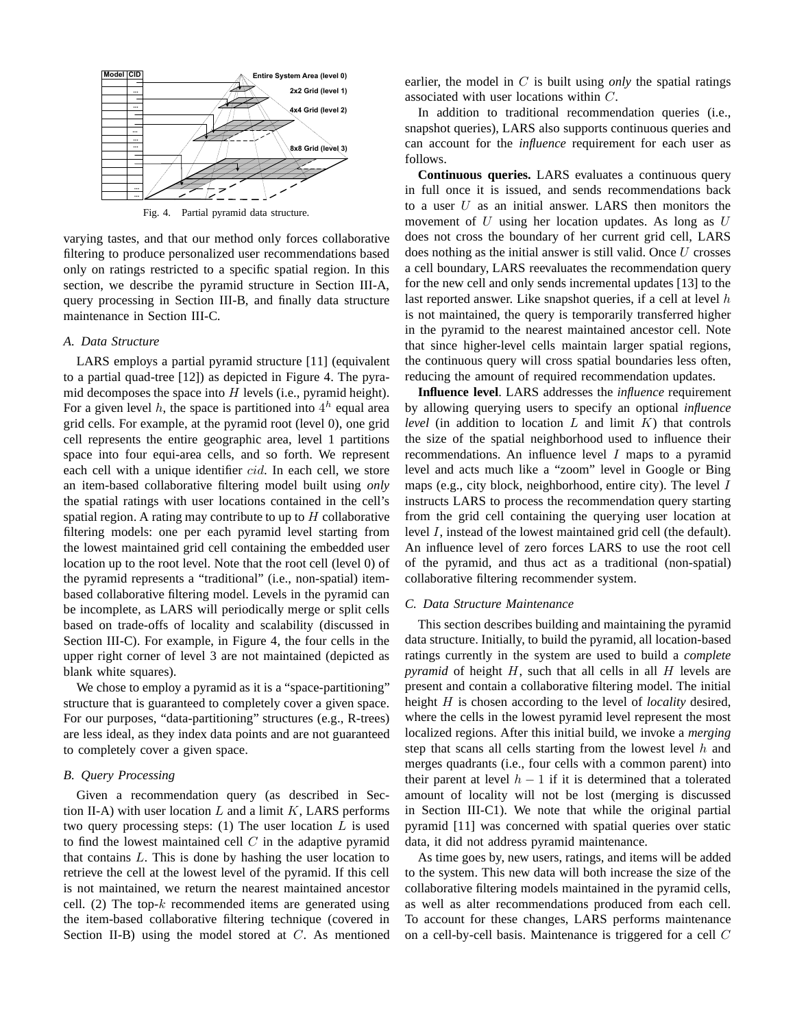

Fig. 4. Partial pyramid data structure.

varying tastes, and that our method only forces collaborative filtering to produce personalized user recommendations based only on ratings restricted to a specific spatial region. In this section, we describe the pyramid structure in Section III-A, query processing in Section III-B, and finally data structure maintenance in Section III-C.

# *A. Data Structure*

LARS employs a partial pyramid structure [11] (equivalent to a partial quad-tree [12]) as depicted in Figure 4. The pyramid decomposes the space into  $H$  levels (i.e., pyramid height). For a given level h, the space is partitioned into  $4^h$  equal area grid cells. For example, at the pyramid root (level 0), one grid cell represents the entire geographic area, level 1 partitions space into four equi-area cells, and so forth. We represent each cell with a unique identifier cid. In each cell, we store an item-based collaborative filtering model built using *only* the spatial ratings with user locations contained in the cell's spatial region. A rating may contribute to up to  $H$  collaborative filtering models: one per each pyramid level starting from the lowest maintained grid cell containing the embedded user location up to the root level. Note that the root cell (level 0) of the pyramid represents a "traditional" (i.e., non-spatial) itembased collaborative filtering model. Levels in the pyramid can be incomplete, as LARS will periodically merge or split cells based on trade-offs of locality and scalability (discussed in Section III-C). For example, in Figure 4, the four cells in the upper right corner of level 3 are not maintained (depicted as blank white squares).

We chose to employ a pyramid as it is a "space-partitioning" structure that is guaranteed to completely cover a given space. For our purposes, "data-partitioning" structures (e.g., R-trees) are less ideal, as they index data points and are not guaranteed to completely cover a given space.

#### *B. Query Processing*

Given a recommendation query (as described in Section II-A) with user location  $L$  and a limit  $K$ , LARS performs two query processing steps:  $(1)$  The user location  $L$  is used to find the lowest maintained cell  $C$  in the adaptive pyramid that contains  $L$ . This is done by hashing the user location to retrieve the cell at the lowest level of the pyramid. If this cell is not maintained, we return the nearest maintained ancestor cell. (2) The top- $k$  recommended items are generated using the item-based collaborative filtering technique (covered in Section II-B) using the model stored at C. As mentioned earlier, the model in C is built using *only* the spatial ratings associated with user locations within C.

In addition to traditional recommendation queries (i.e., snapshot queries), LARS also supports continuous queries and can account for the *influence* requirement for each user as follows.

**Continuous queries.** LARS evaluates a continuous query in full once it is issued, and sends recommendations back to a user  $U$  as an initial answer. LARS then monitors the movement of  $U$  using her location updates. As long as  $U$ does not cross the boundary of her current grid cell, LARS does nothing as the initial answer is still valid. Once U crosses a cell boundary, LARS reevaluates the recommendation query for the new cell and only sends incremental updates [13] to the last reported answer. Like snapshot queries, if a cell at level h is not maintained, the query is temporarily transferred higher in the pyramid to the nearest maintained ancestor cell. Note that since higher-level cells maintain larger spatial regions, the continuous query will cross spatial boundaries less often, reducing the amount of required recommendation updates.

**Influence level**. LARS addresses the *influence* requirement by allowing querying users to specify an optional *influence level* (in addition to location  $L$  and limit  $K$ ) that controls the size of the spatial neighborhood used to influence their recommendations. An influence level I maps to a pyramid level and acts much like a "zoom" level in Google or Bing maps (e.g., city block, neighborhood, entire city). The level I instructs LARS to process the recommendation query starting from the grid cell containing the querying user location at level I, instead of the lowest maintained grid cell (the default). An influence level of zero forces LARS to use the root cell of the pyramid, and thus act as a traditional (non-spatial) collaborative filtering recommender system.

#### *C. Data Structure Maintenance*

This section describes building and maintaining the pyramid data structure. Initially, to build the pyramid, all location-based ratings currently in the system are used to build a *complete pyramid* of height H, such that all cells in all H levels are present and contain a collaborative filtering model. The initial height H is chosen according to the level of *locality* desired, where the cells in the lowest pyramid level represent the most localized regions. After this initial build, we invoke a *merging* step that scans all cells starting from the lowest level  $h$  and merges quadrants (i.e., four cells with a common parent) into their parent at level  $h - 1$  if it is determined that a tolerated amount of locality will not be lost (merging is discussed in Section III-C1). We note that while the original partial pyramid [11] was concerned with spatial queries over static data, it did not address pyramid maintenance.

As time goes by, new users, ratings, and items will be added to the system. This new data will both increase the size of the collaborative filtering models maintained in the pyramid cells, as well as alter recommendations produced from each cell. To account for these changes, LARS performs maintenance on a cell-by-cell basis. Maintenance is triggered for a cell  $C$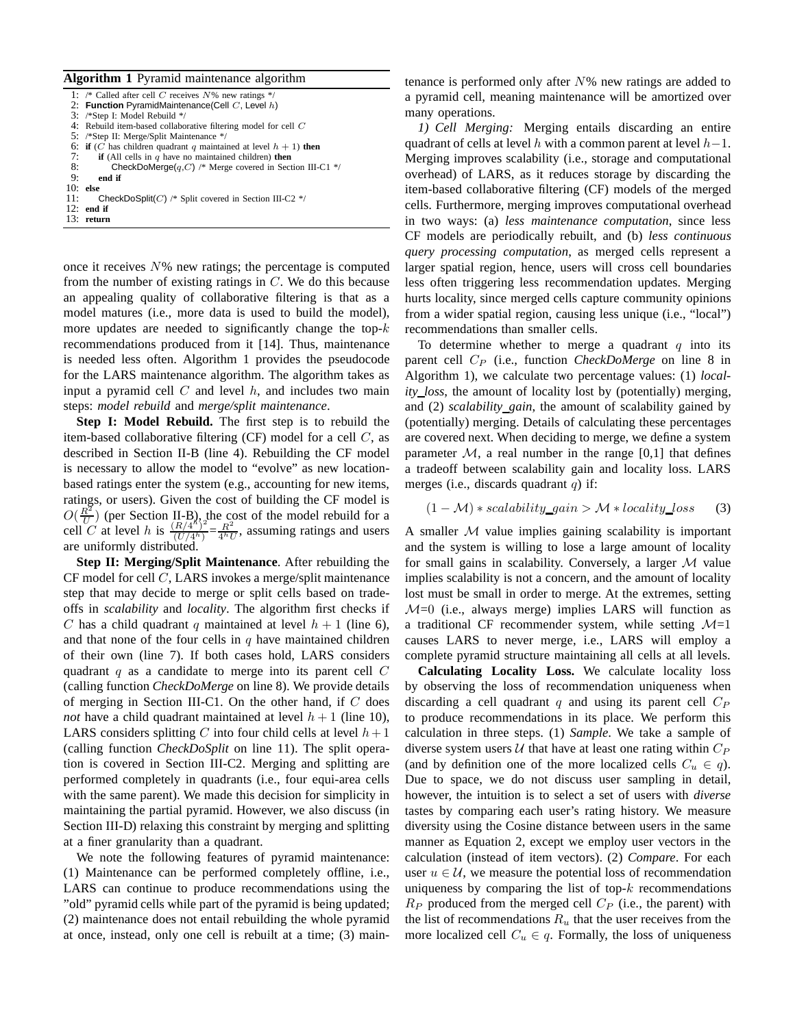#### **Algorithm 1** Pyramid maintenance algorithm

```
1: /* Called after cell C receives N\% new ratings 2: Function PyramidMaintenance(Cell C, Level
 2: Function PyramidMaintenance(Cell C, Level h) 3: /*Step I: Model Rebuild */
 3: /*Step I: Model Rebuild */
 4: Rebuild item-based collaborative filtering model for cell C<br>5: \frac{4}{5} Step II: Merge/Split Maintenance \frac{4}{5}5: /*Step II: Merge/Split Maintenance */<br>6: if (C has children quadrant q maintal
      if (C has children quadrant q maintained at level h + 1) then
 7: if (All cells in q have no maintained children) then<br>8: CheckDoMerge(q, C) /* Merge covered in Sect
 8: CheckDoMerge(q, C) /* Merge covered in Section III-C1 */<br>9. end if
           9: end if
10: else
           CheckDoSplit(C) /* Split covered in Section III-C2 */
12: end if
     13: return
```
once it receives  $N\%$  new ratings; the percentage is computed from the number of existing ratings in  $C$ . We do this because an appealing quality of collaborative filtering is that as a model matures (i.e., more data is used to build the model), more updates are needed to significantly change the top- $k$ recommendations produced from it [14]. Thus, maintenance is needed less often. Algorithm 1 provides the pseudocode for the LARS maintenance algorithm. The algorithm takes as input a pyramid cell  $C$  and level  $h$ , and includes two main steps: *model rebuild* and *merge/split maintenance*.

**Step I: Model Rebuild.** The first step is to rebuild the item-based collaborative filtering  $(CF)$  model for a cell  $C$ , as described in Section II-B (line 4). Rebuilding the CF model is necessary to allow the model to "evolve" as new locationbased ratings enter the system (e.g., accounting for new items, ratings, or users). Given the cost of building the CF model is  $O(\frac{R^2}{U})$  $\frac{R^2}{U}$ ) (per Section II-B), the cost of the model rebuild for a cell C at level h is  $\frac{(R/4^h)^2}{(U/4h)}$  $\frac{(R/4^h)^2}{(U/4^h)} = \frac{R^2}{4^h l}$  $\frac{R^2}{4^hU}$ , assuming ratings and users are uniformly distributed.

**Step II: Merging/Split Maintenance**. After rebuilding the CF model for cell C, LARS invokes a merge/split maintenance step that may decide to merge or split cells based on tradeoffs in *scalability* and *locality*. The algorithm first checks if C has a child quadrant q maintained at level  $h + 1$  (line 6), and that none of the four cells in  $q$  have maintained children of their own (line 7). If both cases hold, LARS considers quadrant  $q$  as a candidate to merge into its parent cell  $C$ (calling function *CheckDoMerge* on line 8). We provide details of merging in Section III-C1. On the other hand, if  $C$  does *not* have a child quadrant maintained at level  $h + 1$  (line 10), LARS considers splitting C into four child cells at level  $h+1$ (calling function *CheckDoSplit* on line 11). The split operation is covered in Section III-C2. Merging and splitting are performed completely in quadrants (i.e., four equi-area cells with the same parent). We made this decision for simplicity in maintaining the partial pyramid. However, we also discuss (in Section III-D) relaxing this constraint by merging and splitting at a finer granularity than a quadrant.

We note the following features of pyramid maintenance: (1) Maintenance can be performed completely offline, i.e., LARS can continue to produce recommendations using the "old" pyramid cells while part of the pyramid is being updated; (2) maintenance does not entail rebuilding the whole pyramid at once, instead, only one cell is rebuilt at a time; (3) maintenance is performed only after  $N\%$  new ratings are added to a pyramid cell, meaning maintenance will be amortized over many operations.

*1) Cell Merging:* Merging entails discarding an entire quadrant of cells at level h with a common parent at level  $h-1$ . Merging improves scalability (i.e., storage and computational overhead) of LARS, as it reduces storage by discarding the item-based collaborative filtering (CF) models of the merged cells. Furthermore, merging improves computational overhead in two ways: (a) *less maintenance computation*, since less CF models are periodically rebuilt, and (b) *less continuous query processing computation*, as merged cells represent a larger spatial region, hence, users will cross cell boundaries less often triggering less recommendation updates. Merging hurts locality, since merged cells capture community opinions from a wider spatial region, causing less unique (i.e., "local") recommendations than smaller cells.

To determine whether to merge a quadrant  $q$  into its parent cell  $C_P$  (i.e., function *CheckDoMerge* on line 8 in Algorithm 1), we calculate two percentage values: (1) *locality loss*, the amount of locality lost by (potentially) merging, and (2) *scalability gain*, the amount of scalability gained by (potentially) merging. Details of calculating these percentages are covered next. When deciding to merge, we define a system parameter  $M$ , a real number in the range [0,1] that defines a tradeoff between scalability gain and locality loss. LARS merges (i.e., discards quadrant  $q$ ) if:

$$
(1 - M) * scalability\_gain > M * locality\_loss
$$
 (3)

A smaller  $M$  value implies gaining scalability is important and the system is willing to lose a large amount of locality for small gains in scalability. Conversely, a larger  $M$  value implies scalability is not a concern, and the amount of locality lost must be small in order to merge. At the extremes, setting  $M=0$  (i.e., always merge) implies LARS will function as a traditional CF recommender system, while setting  $\mathcal{M}=1$ causes LARS to never merge, i.e., LARS will employ a complete pyramid structure maintaining all cells at all levels.

**Calculating Locality Loss.** We calculate locality loss by observing the loss of recommendation uniqueness when discarding a cell quadrant q and using its parent cell  $C_P$ to produce recommendations in its place. We perform this calculation in three steps. (1) *Sample*. We take a sample of diverse system users U that have at least one rating within  $C_P$ (and by definition one of the more localized cells  $C_u \in q$ ). Due to space, we do not discuss user sampling in detail, however, the intuition is to select a set of users with *diverse* tastes by comparing each user's rating history. We measure diversity using the Cosine distance between users in the same manner as Equation 2, except we employ user vectors in the calculation (instead of item vectors). (2) *Compare*. For each user  $u \in U$ , we measure the potential loss of recommendation uniqueness by comparing the list of top- $k$  recommendations  $R_P$  produced from the merged cell  $C_P$  (i.e., the parent) with the list of recommendations  $R_u$  that the user receives from the more localized cell  $C_u \in q$ . Formally, the loss of uniqueness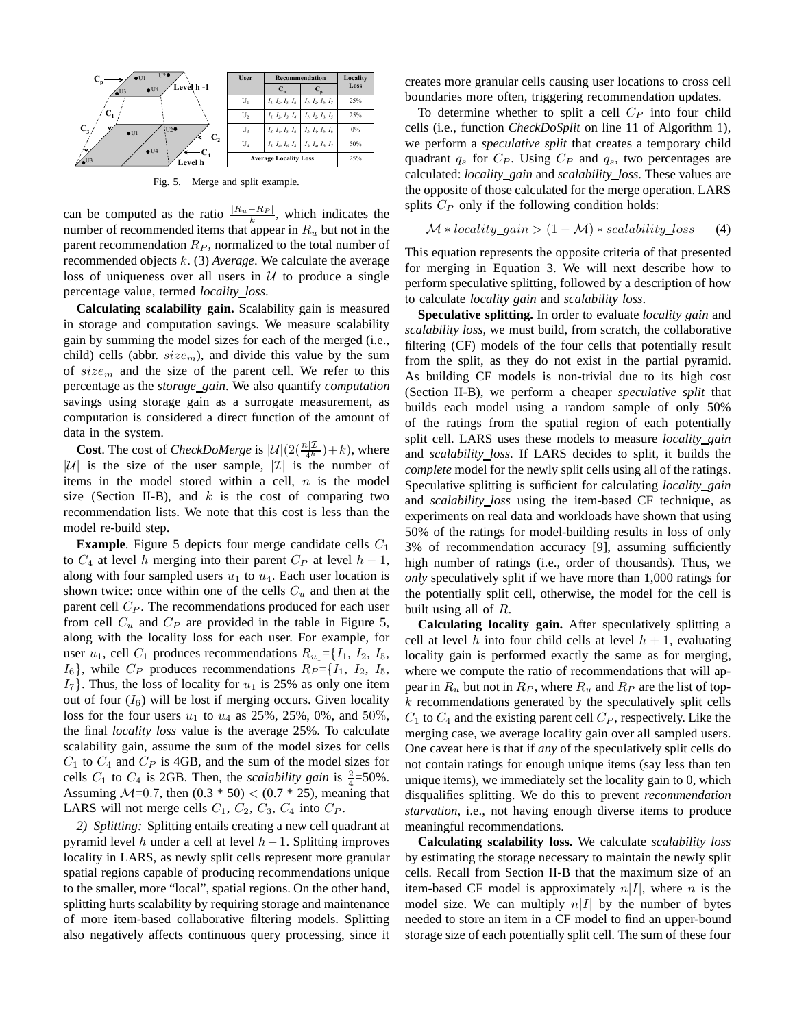

Fig. 5. Merge and split example.

can be computed as the ratio  $\frac{|R_u - R_P|}{k}$ , which indicates the number of recommended items that appear in  $R_u$  but not in the parent recommendation  $R_P$ , normalized to the total number of recommended objects k. (3) *Average*. We calculate the average loss of uniqueness over all users in  $U$  to produce a single percentage value, termed *locality loss*.

**Calculating scalability gain.** Scalability gain is measured in storage and computation savings. We measure scalability gain by summing the model sizes for each of the merged (i.e., child) cells (abbr.  $size_m$ ), and divide this value by the sum of  $size_m$  and the size of the parent cell. We refer to this percentage as the *storage gain*. We also quantify *computation* savings using storage gain as a surrogate measurement, as computation is considered a direct function of the amount of data in the system.

**Cost**. The cost of *CheckDoMerge* is  $|\mathcal{U}|(2(\frac{n|\mathcal{I}|}{4^h})+k)$ , where |U| is the size of the user sample, |T| is the number of items in the model stored within a cell,  $n$  is the model size (Section II-B), and  $k$  is the cost of comparing two recommendation lists. We note that this cost is less than the model re-build step.

**Example**. Figure 5 depicts four merge candidate cells  $C_1$ to  $C_4$  at level h merging into their parent  $C_P$  at level  $h-1$ , along with four sampled users  $u_1$  to  $u_4$ . Each user location is shown twice: once within one of the cells  $C_u$  and then at the parent cell  $C_P$ . The recommendations produced for each user from cell  $C_u$  and  $C_P$  are provided in the table in Figure 5, along with the locality loss for each user. For example, for user  $u_1$ , cell  $C_1$  produces recommendations  $R_{u_1} = \{I_1, I_2, I_5,$  $I_6$ , while  $C_P$  produces recommendations  $R_P = \{I_1, I_2, I_5,$  $I_7$ . Thus, the loss of locality for  $u_1$  is 25% as only one item out of four  $(I_6)$  will be lost if merging occurs. Given locality loss for the four users  $u_1$  to  $u_4$  as 25%, 25%, 0%, and 50%, the final *locality loss* value is the average 25%. To calculate scalability gain, assume the sum of the model sizes for cells  $C_1$  to  $C_4$  and  $C_P$  is 4GB, and the sum of the model sizes for cells  $C_1$  to  $C_4$  is 2GB. Then, the *scalability gain* is  $\frac{2}{4} = 50\%$ . Assuming  $M=0.7$ , then  $(0.3 * 50) < (0.7 * 25)$ , meaning that LARS will not merge cells  $C_1$ ,  $C_2$ ,  $C_3$ ,  $C_4$  into  $C_P$ .

*2) Splitting:* Splitting entails creating a new cell quadrant at pyramid level h under a cell at level  $h-1$ . Splitting improves locality in LARS, as newly split cells represent more granular spatial regions capable of producing recommendations unique to the smaller, more "local", spatial regions. On the other hand, splitting hurts scalability by requiring storage and maintenance of more item-based collaborative filtering models. Splitting also negatively affects continuous query processing, since it

creates more granular cells causing user locations to cross cell boundaries more often, triggering recommendation updates.

To determine whether to split a cell  $C_P$  into four child cells (i.e., function *CheckDoSplit* on line 11 of Algorithm 1), we perform a *speculative split* that creates a temporary child quadrant  $q_s$  for  $C_P$ . Using  $C_P$  and  $q_s$ , two percentages are calculated: *locality gain* and *scalability loss*. These values are the opposite of those calculated for the merge operation. LARS splits  $C_P$  only if the following condition holds:

$$
\mathcal{M} * locality\_gain > (1 - \mathcal{M}) * scalability\_loss
$$
 (4)

This equation represents the opposite criteria of that presented for merging in Equation 3. We will next describe how to perform speculative splitting, followed by a description of how to calculate *locality gain* and *scalability loss*.

**Speculative splitting.** In order to evaluate *locality gain* and *scalability loss*, we must build, from scratch, the collaborative filtering (CF) models of the four cells that potentially result from the split, as they do not exist in the partial pyramid. As building CF models is non-trivial due to its high cost (Section II-B), we perform a cheaper *speculative split* that builds each model using a random sample of only 50% of the ratings from the spatial region of each potentially split cell. LARS uses these models to measure *locality gain* and *scalability loss*. If LARS decides to split, it builds the *complete* model for the newly split cells using all of the ratings. Speculative splitting is sufficient for calculating *locality gain* and *scalability loss* using the item-based CF technique, as experiments on real data and workloads have shown that using 50% of the ratings for model-building results in loss of only 3% of recommendation accuracy [9], assuming sufficiently high number of ratings (i.e., order of thousands). Thus, we *only* speculatively split if we have more than 1,000 ratings for the potentially split cell, otherwise, the model for the cell is built using all of R.

**Calculating locality gain.** After speculatively splitting a cell at level h into four child cells at level  $h + 1$ , evaluating locality gain is performed exactly the same as for merging, where we compute the ratio of recommendations that will appear in  $R_u$  but not in  $R_p$ , where  $R_u$  and  $R_p$  are the list of top $k$  recommendations generated by the speculatively split cells  $C_1$  to  $C_4$  and the existing parent cell  $C_P$ , respectively. Like the merging case, we average locality gain over all sampled users. One caveat here is that if *any* of the speculatively split cells do not contain ratings for enough unique items (say less than ten unique items), we immediately set the locality gain to 0, which disqualifies splitting. We do this to prevent *recommendation starvation*, i.e., not having enough diverse items to produce meaningful recommendations.

**Calculating scalability loss.** We calculate *scalability loss* by estimating the storage necessary to maintain the newly split cells. Recall from Section II-B that the maximum size of an item-based CF model is approximately  $n|I|$ , where n is the model size. We can multiply  $n|I|$  by the number of bytes needed to store an item in a CF model to find an upper-bound storage size of each potentially split cell. The sum of these four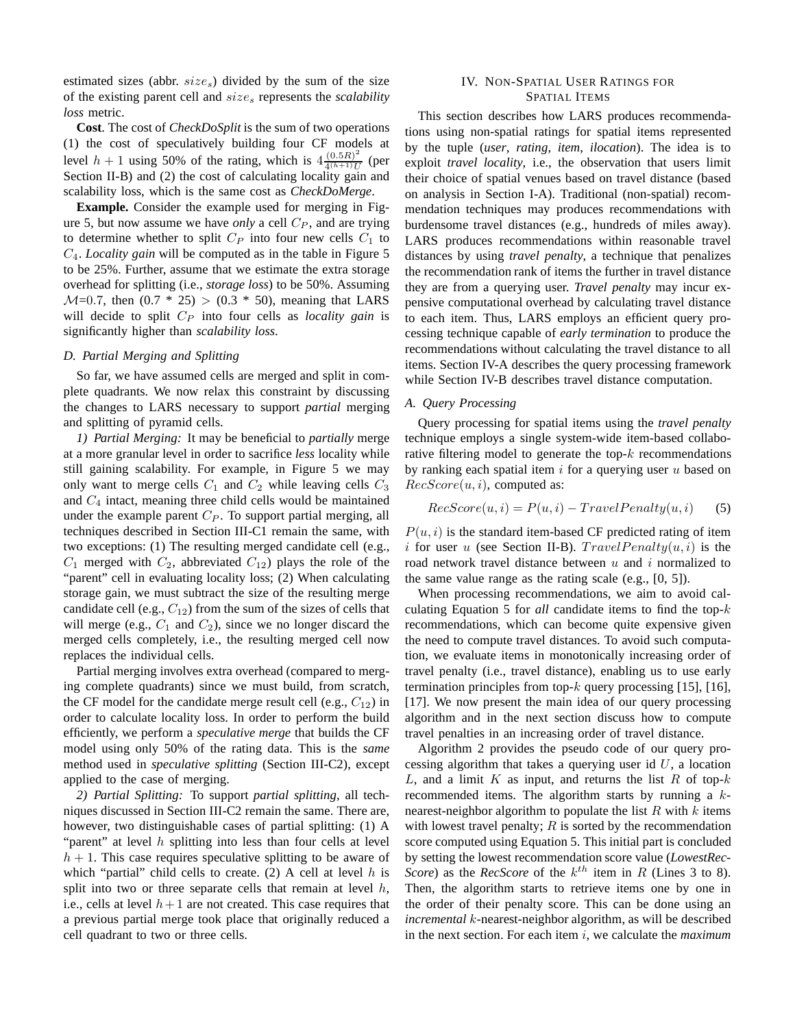estimated sizes (abbr.  $size_s$ ) divided by the sum of the size of the existing parent cell and size<sup>s</sup> represents the *scalability loss* metric.

**Cost**. The cost of *CheckDoSplit* is the sum of two operations (1) the cost of speculatively building four CF models at level  $h + 1$  using 50% of the rating, which is  $4 \frac{(0.5R)^2}{4(h+1)H}$  $\frac{(0.5R)}{4^{(h+1)}U}$  (per Section II-B) and (2) the cost of calculating locality gain and scalability loss, which is the same cost as *CheckDoMerge*.

**Example.** Consider the example used for merging in Figure 5, but now assume we have *only* a cell  $C_P$ , and are trying to determine whether to split  $C_P$  into four new cells  $C_1$  to C4. *Locality gain* will be computed as in the table in Figure 5 to be 25%. Further, assume that we estimate the extra storage overhead for splitting (i.e., *storage loss*) to be 50%. Assuming  $M=0.7$ , then  $(0.7 * 25) > (0.3 * 50)$ , meaning that LARS will decide to split  $C_P$  into four cells as *locality gain* is significantly higher than *scalability loss*.

#### *D. Partial Merging and Splitting*

So far, we have assumed cells are merged and split in complete quadrants. We now relax this constraint by discussing the changes to LARS necessary to support *partial* merging and splitting of pyramid cells.

*1) Partial Merging:* It may be beneficial to *partially* merge at a more granular level in order to sacrifice *less* locality while still gaining scalability. For example, in Figure 5 we may only want to merge cells  $C_1$  and  $C_2$  while leaving cells  $C_3$ and  $C_4$  intact, meaning three child cells would be maintained under the example parent  $C_P$ . To support partial merging, all techniques described in Section III-C1 remain the same, with two exceptions: (1) The resulting merged candidate cell (e.g.,  $C_1$  merged with  $C_2$ , abbreviated  $C_{12}$ ) plays the role of the "parent" cell in evaluating locality loss; (2) When calculating storage gain, we must subtract the size of the resulting merge candidate cell (e.g.,  $C_{12}$ ) from the sum of the sizes of cells that will merge (e.g.,  $C_1$  and  $C_2$ ), since we no longer discard the merged cells completely, i.e., the resulting merged cell now replaces the individual cells.

Partial merging involves extra overhead (compared to merging complete quadrants) since we must build, from scratch, the CF model for the candidate merge result cell (e.g.,  $C_{12}$ ) in order to calculate locality loss. In order to perform the build efficiently, we perform a *speculative merge* that builds the CF model using only 50% of the rating data. This is the *same* method used in *speculative splitting* (Section III-C2), except applied to the case of merging.

*2) Partial Splitting:* To support *partial splitting*, all techniques discussed in Section III-C2 remain the same. There are, however, two distinguishable cases of partial splitting: (1) A "parent" at level  $h$  splitting into less than four cells at level  $h + 1$ . This case requires speculative splitting to be aware of which "partial" child cells to create. (2) A cell at level  $h$  is split into two or three separate cells that remain at level  $h$ , i.e., cells at level  $h+1$  are not created. This case requires that a previous partial merge took place that originally reduced a cell quadrant to two or three cells.

# IV. NON-SPATIAL USER RATINGS FOR SPATIAL ITEMS

This section describes how LARS produces recommendations using non-spatial ratings for spatial items represented by the tuple (*user*, *rating*, *item*, *ilocation*). The idea is to exploit *travel locality*, i.e., the observation that users limit their choice of spatial venues based on travel distance (based on analysis in Section I-A). Traditional (non-spatial) recommendation techniques may produces recommendations with burdensome travel distances (e.g., hundreds of miles away). LARS produces recommendations within reasonable travel distances by using *travel penalty*, a technique that penalizes the recommendation rank of items the further in travel distance they are from a querying user. *Travel penalty* may incur expensive computational overhead by calculating travel distance to each item. Thus, LARS employs an efficient query processing technique capable of *early termination* to produce the recommendations without calculating the travel distance to all items. Section IV-A describes the query processing framework while Section IV-B describes travel distance computation.

## *A. Query Processing*

Query processing for spatial items using the *travel penalty* technique employs a single system-wide item-based collaborative filtering model to generate the top- $k$  recommendations by ranking each spatial item  $i$  for a querying user  $u$  based on  $RecScore(u, i)$ , computed as:

$$
RecScore(u,i) = P(u,i) - TravelPenalty(u,i) \tag{5}
$$

 $P(u, i)$  is the standard item-based CF predicted rating of item i for user u (see Section II-B).  $TravelPenalty(u, i)$  is the road network travel distance between  $u$  and  $i$  normalized to the same value range as the rating scale (e.g., [0, 5]).

When processing recommendations, we aim to avoid calculating Equation 5 for *all* candidate items to find the top-k recommendations, which can become quite expensive given the need to compute travel distances. To avoid such computation, we evaluate items in monotonically increasing order of travel penalty (i.e., travel distance), enabling us to use early termination principles from top- $k$  query processing [15], [16], [17]. We now present the main idea of our query processing algorithm and in the next section discuss how to compute travel penalties in an increasing order of travel distance.

Algorithm 2 provides the pseudo code of our query processing algorithm that takes a querying user id  $U$ , a location L, and a limit K as input, and returns the list R of top- $k$ recommended items. The algorithm starts by running a  $k$ nearest-neighbor algorithm to populate the list  $R$  with  $k$  items with lowest travel penalty;  $R$  is sorted by the recommendation score computed using Equation 5. This initial part is concluded by setting the lowest recommendation score value (*LowestRec-Score*) as the *RecScore* of the  $k^{th}$  item in R (Lines 3 to 8). Then, the algorithm starts to retrieve items one by one in the order of their penalty score. This can be done using an *incremental* k-nearest-neighbor algorithm, as will be described in the next section. For each item i, we calculate the *maximum*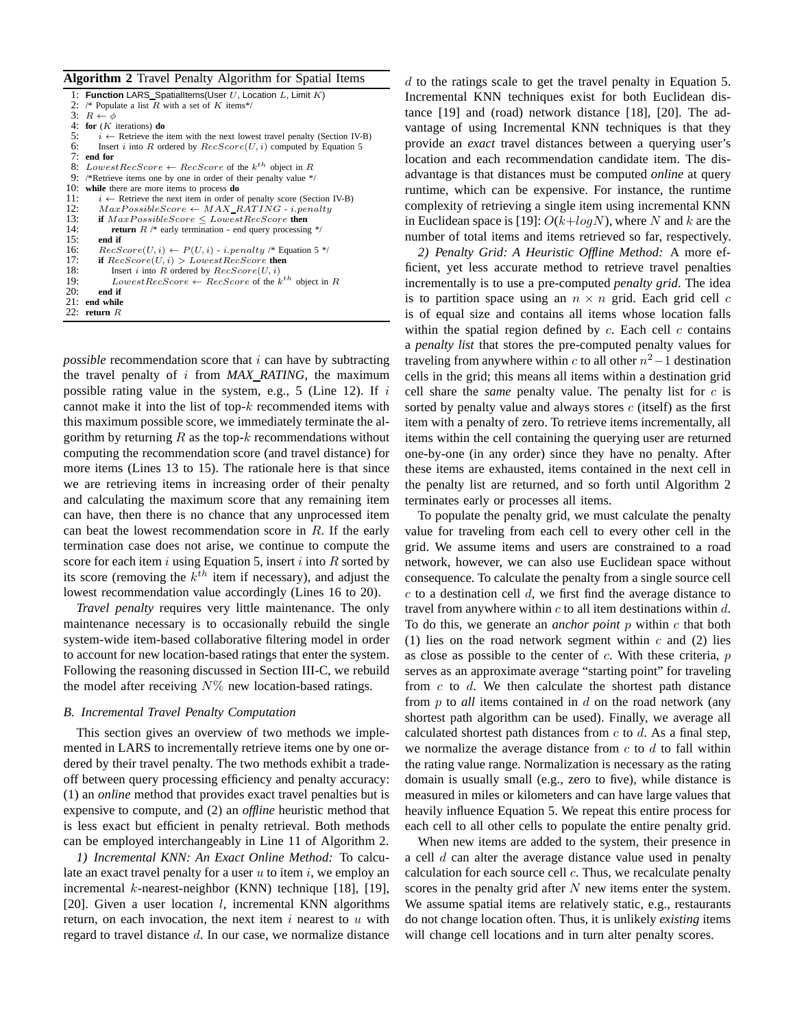| Algorithm 2 Travel Penalty Algorithm for Spatial Items |  |  |  |  |  |  |  |
|--------------------------------------------------------|--|--|--|--|--|--|--|
|--------------------------------------------------------|--|--|--|--|--|--|--|

```
1: Function LARS_SpatialItems(User U, Location L, Limit K)<br>2: /* Populate a list R with a set of K items*/
 2: /* Populate a list R with a set of K items*/<br>3: R \leftarrow \phi3: R \leftarrow<br>4: for \leftarrow4: for (K iterations) do<br>5: i \leftarrow Retrieve the
  5: i \leftarrow Retrieve the item with the next lowest travel penalty (Section IV-B)<br>6: Insert i into R ordered by RecScore(U, i) computed by Equation 5
  6: Insert i into R ordered by RecScore(U, i) computed by Equation 5<br>7: end for
 7: end for
  8: LowestRecScore \leftarrow RecScore of the k^{th} object in R
9: /*Retrieve items one by one in order of their penalty value */<br>10: while there are more items to process do
10: while there are more items to process do 11: i \leftarrow Retrieve the next item in order of
            i \leftarrow Retrieve the next item in order of penalty score (Section IV-B)
12: MaxPosibleScore \leftarrow MAX\_RATING - i penalty<br>13: if MaxPosibleScore \leftarrow LowerRecScore then
13: if MaxPossibleScore \le LowerRecScore then<br>14: return R \nmid * early termination - end query processing
14: return R /* early termination - end query processing */<br>15: end if
15: end if
16: RecScore(U, i) \leftarrow P(U, i) - i. penalty \n\mid * \text{Equation 5 *}\n<br>17: if RecScore(U, i) > Loves thecScore then
17: if RecScore(U, i) > LovesRecScore then<br>18: Insert i into R ordered by RecScore(U, i)18: Insert i into R ordered by RecScore(U, i)<br>19: Lowest RecScore \leftarrow RecScore of the k
19: Lowest RecScore \leftarrow RecScore of the k^{th} object in R
20: end if
21: end while<br>
22 \cdot return B
      return R
```
*possible* recommendation score that i can have by subtracting the travel penalty of i from *MAX RATING*, the maximum possible rating value in the system, e.g., 5 (Line 12). If  $i$ cannot make it into the list of top- $k$  recommended items with this maximum possible score, we immediately terminate the algorithm by returning  $R$  as the top- $k$  recommendations without computing the recommendation score (and travel distance) for more items (Lines 13 to 15). The rationale here is that since we are retrieving items in increasing order of their penalty and calculating the maximum score that any remaining item can have, then there is no chance that any unprocessed item can beat the lowest recommendation score in  $R$ . If the early termination case does not arise, we continue to compute the score for each item i using Equation 5, insert i into  $R$  sorted by its score (removing the  $k^{th}$  item if necessary), and adjust the lowest recommendation value accordingly (Lines 16 to 20).

*Travel penalty* requires very little maintenance. The only maintenance necessary is to occasionally rebuild the single system-wide item-based collaborative filtering model in order to account for new location-based ratings that enter the system. Following the reasoning discussed in Section III-C, we rebuild the model after receiving  $N\%$  new location-based ratings.

#### *B. Incremental Travel Penalty Computation*

This section gives an overview of two methods we implemented in LARS to incrementally retrieve items one by one ordered by their travel penalty. The two methods exhibit a tradeoff between query processing efficiency and penalty accuracy: (1) an *online* method that provides exact travel penalties but is expensive to compute, and (2) an *offline* heuristic method that is less exact but efficient in penalty retrieval. Both methods can be employed interchangeably in Line 11 of Algorithm 2.

*1) Incremental KNN: An Exact Online Method:* To calculate an exact travel penalty for a user  $u$  to item  $i$ , we employ an incremental k-nearest-neighbor (KNN) technique [18], [19], [20]. Given a user location  $l$ , incremental KNN algorithms return, on each invocation, the next item  $i$  nearest to  $u$  with regard to travel distance d. In our case, we normalize distance

d to the ratings scale to get the travel penalty in Equation 5. Incremental KNN techniques exist for both Euclidean distance [19] and (road) network distance [18], [20]. The advantage of using Incremental KNN techniques is that they provide an *exact* travel distances between a querying user's location and each recommendation candidate item. The disadvantage is that distances must be computed *online* at query runtime, which can be expensive. For instance, the runtime complexity of retrieving a single item using incremental KNN in Euclidean space is [19]:  $O(k + log N)$ , where N and k are the number of total items and items retrieved so far, respectively.

*2) Penalty Grid: A Heuristic Offline Method:* A more efficient, yet less accurate method to retrieve travel penalties incrementally is to use a pre-computed *penalty grid*. The idea is to partition space using an  $n \times n$  grid. Each grid cell c is of equal size and contains all items whose location falls within the spatial region defined by  $c$ . Each cell  $c$  contains a *penalty list* that stores the pre-computed penalty values for traveling from anywhere within c to all other  $n^2-1$  destination cells in the grid; this means all items within a destination grid cell share the *same* penalty value. The penalty list for c is sorted by penalty value and always stores  $c$  (itself) as the first item with a penalty of zero. To retrieve items incrementally, all items within the cell containing the querying user are returned one-by-one (in any order) since they have no penalty. After these items are exhausted, items contained in the next cell in the penalty list are returned, and so forth until Algorithm 2 terminates early or processes all items.

To populate the penalty grid, we must calculate the penalty value for traveling from each cell to every other cell in the grid. We assume items and users are constrained to a road network, however, we can also use Euclidean space without consequence. To calculate the penalty from a single source cell  $c$  to a destination cell  $d$ , we first find the average distance to travel from anywhere within  $c$  to all item destinations within  $d$ . To do this, we generate an *anchor point* p within c that both (1) lies on the road network segment within  $c$  and (2) lies as close as possible to the center of  $c$ . With these criteria,  $p$ serves as an approximate average "starting point" for traveling from  $c$  to  $d$ . We then calculate the shortest path distance from p to *all* items contained in d on the road network (any shortest path algorithm can be used). Finally, we average all calculated shortest path distances from  $c$  to  $d$ . As a final step, we normalize the average distance from  $c$  to  $d$  to fall within the rating value range. Normalization is necessary as the rating domain is usually small (e.g., zero to five), while distance is measured in miles or kilometers and can have large values that heavily influence Equation 5. We repeat this entire process for each cell to all other cells to populate the entire penalty grid.

When new items are added to the system, their presence in a cell  $d$  can alter the average distance value used in penalty calculation for each source cell  $c$ . Thus, we recalculate penalty scores in the penalty grid after  $N$  new items enter the system. We assume spatial items are relatively static, e.g., restaurants do not change location often. Thus, it is unlikely *existing* items will change cell locations and in turn alter penalty scores.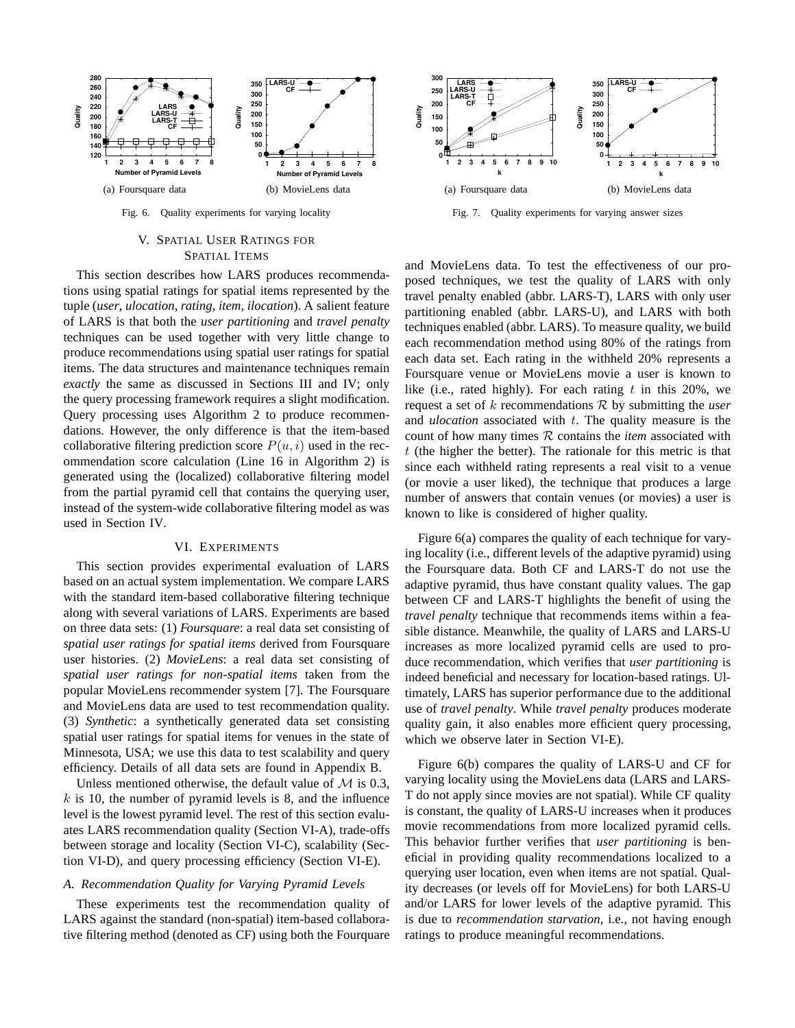

Fig. 6. Quality experiments for varying locality

## V. SPATIAL USER RATINGS FOR SPATIAL ITEMS

This section describes how LARS produces recommendations using spatial ratings for spatial items represented by the tuple (*user*, *ulocation*, *rating*, *item*, *ilocation*). A salient feature of LARS is that both the *user partitioning* and *travel penalty* techniques can be used together with very little change to produce recommendations using spatial user ratings for spatial items. The data structures and maintenance techniques remain *exactly* the same as discussed in Sections III and IV; only the query processing framework requires a slight modification. Query processing uses Algorithm 2 to produce recommendations. However, the only difference is that the item-based collaborative filtering prediction score  $P(u, i)$  used in the recommendation score calculation (Line 16 in Algorithm 2) is generated using the (localized) collaborative filtering model from the partial pyramid cell that contains the querying user, instead of the system-wide collaborative filtering model as was used in Section IV.

#### VI. EXPERIMENTS

This section provides experimental evaluation of LARS based on an actual system implementation. We compare LARS with the standard item-based collaborative filtering technique along with several variations of LARS. Experiments are based on three data sets: (1) *Foursquare*: a real data set consisting of *spatial user ratings for spatial items* derived from Foursquare user histories. (2) *MovieLens*: a real data set consisting of *spatial user ratings for non-spatial items* taken from the popular MovieLens recommender system [7]. The Foursquare and MovieLens data are used to test recommendation quality. (3) *Synthetic*: a synthetically generated data set consisting spatial user ratings for spatial items for venues in the state of Minnesota, USA; we use this data to test scalability and query efficiency. Details of all data sets are found in Appendix B.

Unless mentioned otherwise, the default value of  $M$  is 0.3,  $k$  is 10, the number of pyramid levels is 8, and the influence level is the lowest pyramid level. The rest of this section evaluates LARS recommendation quality (Section VI-A), trade-offs between storage and locality (Section VI-C), scalability (Section VI-D), and query processing efficiency (Section VI-E).

# *A. Recommendation Quality for Varying Pyramid Levels*

These experiments test the recommendation quality of LARS against the standard (non-spatial) item-based collaborative filtering method (denoted as CF) using both the Fourquare



Fig. 7. Quality experiments for varying answer sizes

and MovieLens data. To test the effectiveness of our proposed techniques, we test the quality of LARS with only travel penalty enabled (abbr. LARS-T), LARS with only user partitioning enabled (abbr. LARS-U), and LARS with both techniques enabled (abbr. LARS). To measure quality, we build each recommendation method using 80% of the ratings from each data set. Each rating in the withheld 20% represents a Foursquare venue or MovieLens movie a user is known to like (i.e., rated highly). For each rating  $t$  in this 20%, we request a set of k recommendations R by submitting the *user* and *ulocation* associated with t. The quality measure is the count of how many times R contains the *item* associated with  $t$  (the higher the better). The rationale for this metric is that since each withheld rating represents a real visit to a venue (or movie a user liked), the technique that produces a large number of answers that contain venues (or movies) a user is known to like is considered of higher quality.

Figure 6(a) compares the quality of each technique for varying locality (i.e., different levels of the adaptive pyramid) using the Foursquare data. Both CF and LARS-T do not use the adaptive pyramid, thus have constant quality values. The gap between CF and LARS-T highlights the benefit of using the *travel penalty* technique that recommends items within a feasible distance. Meanwhile, the quality of LARS and LARS-U increases as more localized pyramid cells are used to produce recommendation, which verifies that *user partitioning* is indeed beneficial and necessary for location-based ratings. Ultimately, LARS has superior performance due to the additional use of *travel penalty*. While *travel penalty* produces moderate quality gain, it also enables more efficient query processing, which we observe later in Section VI-E).

Figure 6(b) compares the quality of LARS-U and CF for varying locality using the MovieLens data (LARS and LARS-T do not apply since movies are not spatial). While CF quality is constant, the quality of LARS-U increases when it produces movie recommendations from more localized pyramid cells. This behavior further verifies that *user partitioning* is beneficial in providing quality recommendations localized to a querying user location, even when items are not spatial. Quality decreases (or levels off for MovieLens) for both LARS-U and/or LARS for lower levels of the adaptive pyramid. This is due to *recommendation starvation*, i.e., not having enough ratings to produce meaningful recommendations.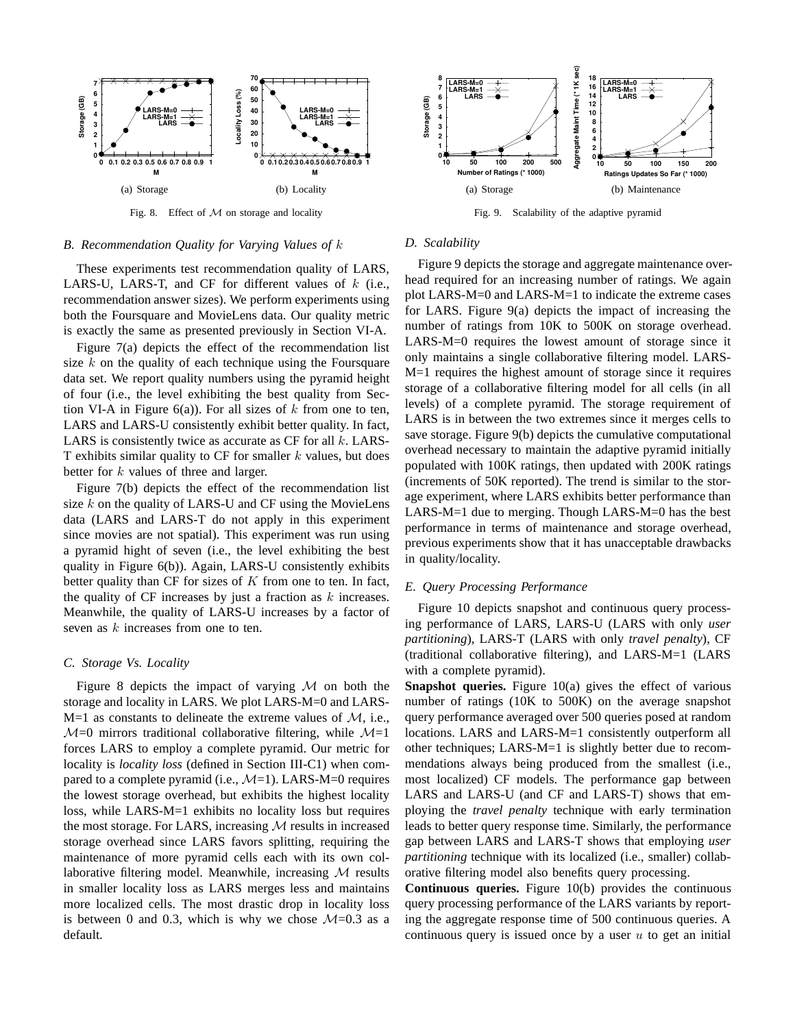

Fig. 8. Effect of  $M$  on storage and locality

#### *B. Recommendation Quality for Varying Values of* k

These experiments test recommendation quality of LARS, LARS-U, LARS-T, and CF for different values of  $k$  (i.e., recommendation answer sizes). We perform experiments using both the Foursquare and MovieLens data. Our quality metric is exactly the same as presented previously in Section VI-A.

Figure 7(a) depicts the effect of the recommendation list size  $k$  on the quality of each technique using the Foursquare data set. We report quality numbers using the pyramid height of four (i.e., the level exhibiting the best quality from Section VI-A in Figure  $6(a)$ ). For all sizes of k from one to ten, LARS and LARS-U consistently exhibit better quality. In fact, LARS is consistently twice as accurate as CF for all  $k$ . LARS-T exhibits similar quality to CF for smaller  $k$  values, but does better for  $k$  values of three and larger.

Figure 7(b) depicts the effect of the recommendation list size  $k$  on the quality of LARS-U and CF using the MovieLens data (LARS and LARS-T do not apply in this experiment since movies are not spatial). This experiment was run using a pyramid hight of seven (i.e., the level exhibiting the best quality in Figure 6(b)). Again, LARS-U consistently exhibits better quality than CF for sizes of  $K$  from one to ten. In fact, the quality of CF increases by just a fraction as  $k$  increases. Meanwhile, the quality of LARS-U increases by a factor of seven as  $k$  increases from one to ten.

## *C. Storage Vs. Locality*

Figure 8 depicts the impact of varying  $M$  on both the storage and locality in LARS. We plot LARS-M=0 and LARS- $M=1$  as constants to delineate the extreme values of  $M$ , i.e.,  $M=0$  mirrors traditional collaborative filtering, while  $M=1$ forces LARS to employ a complete pyramid. Our metric for locality is *locality loss* (defined in Section III-C1) when compared to a complete pyramid (i.e.,  $\mathcal{M}=1$ ). LARS-M=0 requires the lowest storage overhead, but exhibits the highest locality loss, while LARS-M=1 exhibits no locality loss but requires the most storage. For LARS, increasing  $M$  results in increased storage overhead since LARS favors splitting, requiring the maintenance of more pyramid cells each with its own collaborative filtering model. Meanwhile, increasing  $M$  results in smaller locality loss as LARS merges less and maintains more localized cells. The most drastic drop in locality loss is between 0 and 0.3, which is why we chose  $\mathcal{M}$ =0.3 as a default.



Fig. 9. Scalability of the adaptive pyramid

#### *D. Scalability*

Figure 9 depicts the storage and aggregate maintenance overhead required for an increasing number of ratings. We again plot LARS-M=0 and LARS-M=1 to indicate the extreme cases for LARS. Figure 9(a) depicts the impact of increasing the number of ratings from 10K to 500K on storage overhead. LARS-M=0 requires the lowest amount of storage since it only maintains a single collaborative filtering model. LARS-M=1 requires the highest amount of storage since it requires storage of a collaborative filtering model for all cells (in all levels) of a complete pyramid. The storage requirement of LARS is in between the two extremes since it merges cells to save storage. Figure 9(b) depicts the cumulative computational overhead necessary to maintain the adaptive pyramid initially populated with 100K ratings, then updated with 200K ratings (increments of 50K reported). The trend is similar to the storage experiment, where LARS exhibits better performance than LARS-M=1 due to merging. Though LARS-M=0 has the best performance in terms of maintenance and storage overhead, previous experiments show that it has unacceptable drawbacks in quality/locality.

# *E. Query Processing Performance*

Figure 10 depicts snapshot and continuous query processing performance of LARS, LARS-U (LARS with only *user partitioning*), LARS-T (LARS with only *travel penalty*), CF (traditional collaborative filtering), and LARS-M=1 (LARS with a complete pyramid).

**Snapshot queries.** Figure 10(a) gives the effect of various number of ratings (10K to 500K) on the average snapshot query performance averaged over 500 queries posed at random locations. LARS and LARS-M=1 consistently outperform all other techniques; LARS-M=1 is slightly better due to recommendations always being produced from the smallest (i.e., most localized) CF models. The performance gap between LARS and LARS-U (and CF and LARS-T) shows that employing the *travel penalty* technique with early termination leads to better query response time. Similarly, the performance gap between LARS and LARS-T shows that employing *user partitioning* technique with its localized (i.e., smaller) collaborative filtering model also benefits query processing.

**Continuous queries.** Figure 10(b) provides the continuous query processing performance of the LARS variants by reporting the aggregate response time of 500 continuous queries. A continuous query is issued once by a user  $u$  to get an initial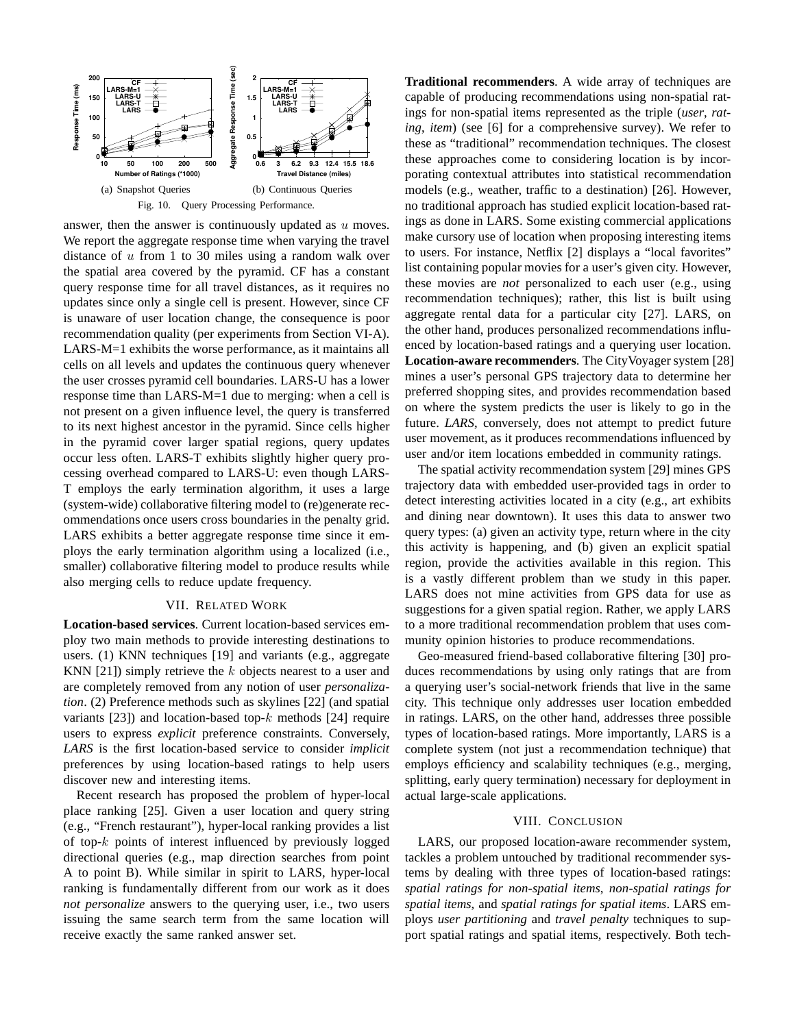

answer, then the answer is continuously updated as  $u$  moves. We report the aggregate response time when varying the travel distance of  $u$  from 1 to 30 miles using a random walk over the spatial area covered by the pyramid. CF has a constant query response time for all travel distances, as it requires no updates since only a single cell is present. However, since CF is unaware of user location change, the consequence is poor recommendation quality (per experiments from Section VI-A). LARS-M=1 exhibits the worse performance, as it maintains all cells on all levels and updates the continuous query whenever the user crosses pyramid cell boundaries. LARS-U has a lower response time than LARS-M=1 due to merging: when a cell is not present on a given influence level, the query is transferred to its next highest ancestor in the pyramid. Since cells higher in the pyramid cover larger spatial regions, query updates occur less often. LARS-T exhibits slightly higher query processing overhead compared to LARS-U: even though LARS-T employs the early termination algorithm, it uses a large (system-wide) collaborative filtering model to (re)generate recommendations once users cross boundaries in the penalty grid. LARS exhibits a better aggregate response time since it employs the early termination algorithm using a localized (i.e., smaller) collaborative filtering model to produce results while also merging cells to reduce update frequency.

## VII. RELATED WORK

**Location-based services**. Current location-based services employ two main methods to provide interesting destinations to users. (1) KNN techniques [19] and variants (e.g., aggregate KNN  $[21]$ ) simply retrieve the k objects nearest to a user and are completely removed from any notion of user *personalization*. (2) Preference methods such as skylines [22] (and spatial variants  $[23]$ ) and location-based top-k methods  $[24]$  require users to express *explicit* preference constraints. Conversely, *LARS* is the first location-based service to consider *implicit* preferences by using location-based ratings to help users discover new and interesting items.

Recent research has proposed the problem of hyper-local place ranking [25]. Given a user location and query string (e.g., "French restaurant"), hyper-local ranking provides a list of top-k points of interest influenced by previously logged directional queries (e.g., map direction searches from point A to point B). While similar in spirit to LARS, hyper-local ranking is fundamentally different from our work as it does *not personalize* answers to the querying user, i.e., two users issuing the same search term from the same location will receive exactly the same ranked answer set.

**Traditional recommenders**. A wide array of techniques are capable of producing recommendations using non-spatial ratings for non-spatial items represented as the triple (*user*, *rating*, *item*) (see [6] for a comprehensive survey). We refer to these as "traditional" recommendation techniques. The closest these approaches come to considering location is by incorporating contextual attributes into statistical recommendation models (e.g., weather, traffic to a destination) [26]. However, no traditional approach has studied explicit location-based ratings as done in LARS. Some existing commercial applications make cursory use of location when proposing interesting items to users. For instance, Netflix [2] displays a "local favorites" list containing popular movies for a user's given city. However, these movies are *not* personalized to each user (e.g., using recommendation techniques); rather, this list is built using aggregate rental data for a particular city [27]. LARS, on the other hand, produces personalized recommendations influenced by location-based ratings and a querying user location. **Location-aware recommenders**. The CityVoyager system [28] mines a user's personal GPS trajectory data to determine her preferred shopping sites, and provides recommendation based on where the system predicts the user is likely to go in the future. *LARS*, conversely, does not attempt to predict future user movement, as it produces recommendations influenced by user and/or item locations embedded in community ratings.

The spatial activity recommendation system [29] mines GPS trajectory data with embedded user-provided tags in order to detect interesting activities located in a city (e.g., art exhibits and dining near downtown). It uses this data to answer two query types: (a) given an activity type, return where in the city this activity is happening, and (b) given an explicit spatial region, provide the activities available in this region. This is a vastly different problem than we study in this paper. LARS does not mine activities from GPS data for use as suggestions for a given spatial region. Rather, we apply LARS to a more traditional recommendation problem that uses community opinion histories to produce recommendations.

Geo-measured friend-based collaborative filtering [30] produces recommendations by using only ratings that are from a querying user's social-network friends that live in the same city. This technique only addresses user location embedded in ratings. LARS, on the other hand, addresses three possible types of location-based ratings. More importantly, LARS is a complete system (not just a recommendation technique) that employs efficiency and scalability techniques (e.g., merging, splitting, early query termination) necessary for deployment in actual large-scale applications.

#### VIII. CONCLUSION

LARS, our proposed location-aware recommender system, tackles a problem untouched by traditional recommender systems by dealing with three types of location-based ratings: *spatial ratings for non-spatial items*, *non-spatial ratings for spatial items*, and *spatial ratings for spatial items*. LARS employs *user partitioning* and *travel penalty* techniques to support spatial ratings and spatial items, respectively. Both tech